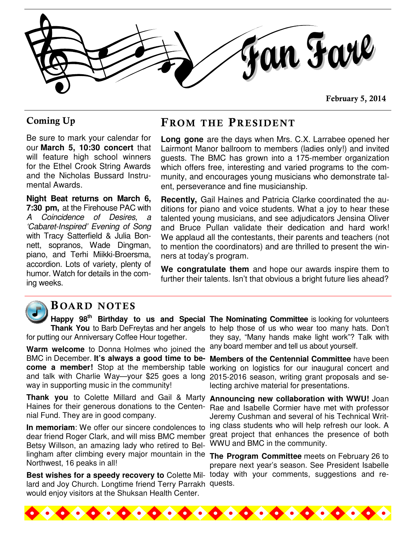

February 5, 2014

Be sure to mark your calendar for our **March 5, 10:30 concert** that will feature high school winners for the Ethel Crook String Awards and the Nicholas Bussard Instrumental Awards.

**Night Beat returns on March 6, 7:30 pm,** at the Firehouse PAC with A Coincidence of Desires, a 'Cabaret-Inspired' Evening of Song with Tracy Satterfield & Julia Bonnett, sopranos, Wade Dingman, piano, and Terhi Miikki-Broersma, accordion. Lots of variety, plenty of humor. Watch for details in the coming weeks.

#### Coming Up FROM THE PRESIDENT

**Long gone** are the days when Mrs. C.X. Larrabee opened her Lairmont Manor ballroom to members (ladies only!) and invited guests. The BMC has grown into a 175-member organization which offers free, interesting and varied programs to the community, and encourages young musicians who demonstrate talent, perseverance and fine musicianship.

**Recently,** Gail Haines and Patricia Clarke coordinated the auditions for piano and voice students. What a joy to hear these talented young musicians, and see adjudicators Jensina Oliver and Bruce Pullan validate their dedication and hard work! We applaud all the contestants, their parents and teachers (not to mention the coordinators) and are thrilled to present the winners at today's program.

**We congratulate them** and hope our awards inspire them to further their talents. Isn't that obvious a bright future lies ahead?



#### B OARD NOTES

for putting our Anniversary Coffee Hour together.

**Warm welcome** to Donna Holmes who joined the and talk with Charlie Way—your \$25 goes a long 2015-2016 season, writing grant proposals and seway in supporting music in the community!

**Thank you** to Colette Millard and Gail & Marty **Announcing new collaboration with WWU!** Joan Haines for their generous donations to the Centennial Fund. They are in good company.

**In memoriam**: We offer our sincere condolences to Betsy Willson, an amazing lady who retired to Bellingham after climbing every major mountain in the **The Program Committee** meets on February 26 to Northwest, 16 peaks in all!

lard and Joy Church. Longtime friend Terry Parrakh quests. would enjoy visitors at the Shuksan Health Center.

**Happy 98th Birthday to us and Special The Nominating Committee** is looking for volunteers **Thank You** to Barb DeFreytas and her angels to help those of us who wear too many hats. Don't they say, "Many hands make light work"? Talk with any board member and tell us about yourself.

BMC in December. **It's always a good time to be-Members of the Centennial Committee** have been **come a member!** Stop at the membership table working on logistics for our inaugural concert and lecting archive material for presentations.

dear friend Roger Clark, and will miss BMC member great project that enhances the presence of both Rae and Isabelle Cormier have met with professor Jeremy Cushman and several of his Technical Writing class students who will help refresh our look. A WWU and BMC in the community.

**Best wishes for a speedy recovery to** Colette Mil-today with your comments, suggestions and reprepare next year's season. See President Isabelle

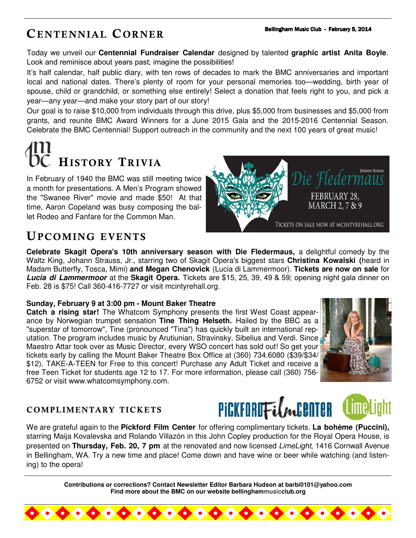### CENTENNIAL CORNER

Today we unveil our **Centennial Fundraiser Calendar** designed by talented **graphic artist Anita Boyle**. Look and reminisce about years past; imagine the possibilities!

It's half calendar, half public diary, with ten rows of decades to mark the BMC anniversaries and important local and national dates. There's plenty of room for your personal memories too—wedding, birth year of spouse, child or grandchild, or something else entirely! Select a donation that feels right to you, and pick a year—any year—and make your story part of our story!

Our goal is to raise \$10,000 from individuals through this drive, plus \$5,000 from businesses and \$5,000 from grants, and reunite BMC Award Winners for a June 2015 Gala and the 2015-2016 Centennial Season. Celebrate the BMC Centennial! Support outreach in the community and the next 100 years of great music!

# HISTORY TRIVIA

In February of 1940 the BMC was still meeting twice a month for presentations. A Men's Program showed the "Swanee River" movie and made \$50! At that time, Aaron Copeland was busy composing the ballet Rodeo and Fanfare for the Common Man.



#### UPCOMING EVENTS

**Celebrate Skagit Opera's 10th anniversary season with Die Fledermaus,** a delightful comedy by the Waltz King, Johann Strauss, Jr., starring two of Skagit Opera's biggest stars **Christina Kowalski (**heard in Madam Butterfly, Tosca, Mimi) **and Megan Chenovick** (Lucia di Lammermoor). **Tickets are now on sale** for **Lucia di Lammermoor** at the **Skagit Opera.** Tickets are \$15, 25, 39, 49 & 59; opening night gala dinner on Feb. 28 is \$75! Call 360-416-7727 or visit mcintyrehall.org.

#### **Sunday, February 9 at 3:00 pm - Mount Baker Theatre**

**Catch a rising star!** The Whatcom Symphony presents the first West Coast appearance by Norwegian trumpet sensation **Tine Thing Helseth.** Hailed by the BBC as a "superstar of tomorrow", Tine (pronounced "Tina") has quickly built an international reputation. The program includes music by Arutiunian, Stravinsky, Sibelius and Verdi. Since Maestro Attar took over as Music Director, every WSO concert has sold out! So get your tickets early by calling the Mount Baker Theatre Box Office at (360) 734.6080 (\$39/\$34/ \$12). TAKE-A-TEEN for Free to this concert! Purchase any Adult Ticket and receive a free Teen Ticket for students age 12 to 17. For more information, please call (360) 756- 6752 or visit www.whatcomsymphony.com.



#### COMPLIMENTARY TICKETS



We are grateful again to the **Pickford Film Center** for offering complimentary tickets. **La bohème (Puccini),**  starring Maija Kovalevska and Rolando Villazón in this John Copley production for the Royal Opera House, is presented on **Thursday, Feb. 20, 7 pm** at the renovated and now licensed LimeLight, 1416 Cornwall Avenue in Bellingham, WA. Try a new time and place! Come down and have wine or beer while watching (and listening) to the opera!

> **Contributions or corrections? Contact Newsletter Editor Barbara Hudson at barbi0101@yahoo.com Find more about the BMC on our website bellinghammusicclub.org**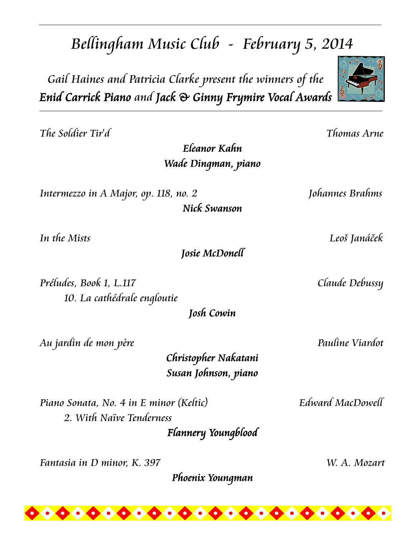## Bellingham Music Club - February 5, 2014

Gail Haines and Patricia Clarke present the winners of the Enid Carrick Piano and Jack & Ginny Frymire Vocal Awards

The Soldier Tir'd Thomas Arne

Eleanor Kahn Wade Dingman, piano

Intermezzo in A Major, op. 118, no. 2 [ohannes Brahms]

Nick Swanson

Josie McDonell

Préludes, Book 1, L.117 Claude Debussy 10. La cathédrale engloutie

Josh Cowin

Au jardin de mon père **Pauline Viardot** 

Christopher Nakatani Susan Johnson, piano

Piano Sonata, No. 4 in E minor (Keltic) Edward MacDowell 2. With Naïve Tenderness Flannery Youngblood

Fantasia in D minor, K. 397 W. A. Mozart

Phoenix Youngman

In the Mists Leoš Janáček